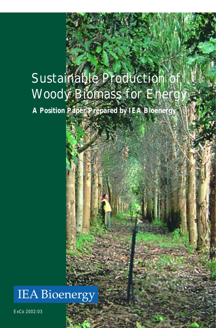# Sustainable Production of Woody Biomass for Energy

**A Position Paper Prepared by IEA Bioenergy**



ExCo 2002:03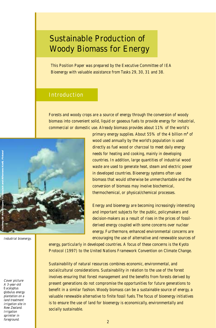# Sustainable Production of Woody Biomass for Energy

This Position Paper was prepared by the Executive Committee of IEA Bioenergy with valuable assistance from Tasks 29, 30, 31 and 38.

# Introduction

Forests and woody crops are a source of energy through the conversion of woody biomass into convenient solid, liquid or gaseous fuels to provide energy for industrial, commercial or domestic use. Already biomass provides about 11% of the world's



Industrial bioenergy.

#### Cover picture

A 3-year-old **Eucalyptus** globulus energy plantation on a land treatment irrigation site in New Zealand. Irrigation sprinkler in foreground.

primary energy supplies. About 55% of the 4 billion m**<sup>3</sup>** of wood used annually by the world's population is used directly as fuel wood or charcoal to meet daily energy needs for heating and cooking, mainly in developing countries. In addition, large quantities of industrial wood waste are used to generate heat, steam and electric power in developed countries. Bioenergy systems often use biomass that would otherwise be unmerchantable and the conversion of biomass may involve biochemical, thermochemical, or physical/chemical processes.

Energy and bioenergy are becoming increasingly interesting and important subjects for the public, policymakers and decision-makers as a result of rises in the prices of fossilderived energy coupled with some concerns over nuclear energy. Furthermore, enhanced environmental concerns are encouraging the use of alternative and renewable sources of

energy, particularly in developed countries. A focus of these concerns is the Kyoto Protocol (1997) to the United Nations Framework Convention on Climate Change.

Sustainability of natural resources combines economic, environmental, and social/cultural considerations. Sustainability in relation to the use of the forest involves ensuring that forest management and the benefits from forests derived by present generations do not compromise the opportunities for future generations to benefit in a similar fashion. Woody biomass can be a sustainable source of energy, a valuable renewable alternative to finite fossil fuels.The focus of bioenergy initiatives is to ensure the use of land for bioenergy is economically, environmentally and socially sustainable.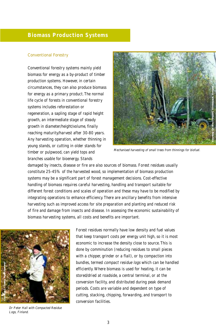# **Biomass Production Systems**

# Conventional Forestry

Conventional forestry systems mainly yield biomass for energy as a by-product of timber production systems. However, in certain circumstances, they can also produce biomass for energy as a primary product. The normal life cycle of forests in conventional forestry systems includes reforestation or regeneration, a sapling stage of rapid height growth, an intermediate stage of steady growth in diameter/height/volume, finally reaching maturity/harvest after 30-80 years. Any harvesting operation, whether thinning in young stands, or cutting in older stands for timber or pulpwood, can yield tops and branches usable for bioenergy. Stands



Mechanised harvesting of small trees from thinnings for biofuel.

damaged by insects, disease or fire are also sources of biomass. Forest residues usually constitute 25-45% of the harvested wood, so implementation of biomass production systems may be a significant part of forest management decisions. Cost-effective handling of biomass requires careful harvesting, handling and transport suitable for different forest conditions and scales of operation and these may have to be modified by integrating operations to enhance efficiency.There are ancillary benefits from intensive harvesting such as improved access for site preparation and planting and reduced risk of fire and damage from insects and disease. In assessing the economic sustainability of biomass harvesting systems, all costs and benefits are important.



Dr Peter Hall with Compacted Residue Logs, Finland.

Forest residues normally have low density and fuel values that keep transport costs per energy unit high, so it is most economic to increase the density close to source.This is done by comminution (reducing residues to small pieces with a chipper, grinder or a flail), or by compaction into bundles, termed compact residue logs which can be handled efficiently. Where biomass is used for heating, it can be stored/dried at roadside, a central terminal, or at the conversion facility, and distributed during peak demand periods. Costs are variable and dependent on type of cutting, stacking, chipping, forwarding, and transport to conversion facilities.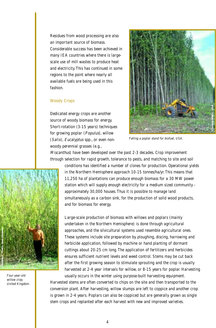Residues from wood processing are also an important source of biomass. Considerable success has been achieved in many IEA countries where there is largescale use of mill wastes to produce heat and electricity.This has continued in some regions to the point where nearly all available fuels are being used in this fashion.

# Woody Crops

Dedicated energy crops are another source of woody biomass for energy. Short-rotation (3-15 years) techniques for growing poplar (Populus), willow (Salix), Eucalyptus spp., or even nonwoody perennial grasses (e.g.,



Felling a poplar stand for biofuel, USA.

Miscanthus) have been developed over the past 2-3 decades. Crop improvement through selection for rapid growth, tolerance to pests, and matching to site and soil

> conditions has identified a number of clones for production. Operational yields in the Northern Hemisphere approach 10-15 tonnes/ha/yr.This means that 11,250 ha of plantations can produce enough biomass for a 30 MW power station which will supply enough electricity for a medium sized community approximately 30,000 houses.Thus it is possible to manage land simultaneously as a carbon sink, for the production of solid wood products, and for biomass for energy.

Large-scale production of biomass with willows and poplars (mainly undertaken in the Northern Hemisphere) is done through agricultural approaches, and the silvicultural systems used resemble agricultural ones. These systems include site preparation by ploughing, discing, harrowing and herbicide application, followed by machine or hand planting of dormant cuttings about 20-25 cm long.The application of fertilizers and herbicides ensures sufficient nutrient levels and weed control. Stems may be cut back after the first growing season to stimulate sprouting and the crop is usually harvested at 2-4 year intervals for willow, or 8-15 years for poplar. Harvesting

usually occurs in the winter using purpose-built harvesting equipment. Harvested stems are often converted to chips on the site and then transported to the conversion plant. After harvesting, willow stumps are left to coppice and another crop is grown in 2-4 years. Poplars can also be coppiced but are generally grown as single stem crops and replanted after each harvest with new and improved varieties.



Four-year-old willow crop, United Kingdom.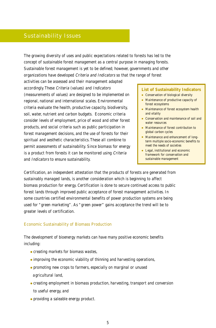# Sustainability Issues

The growing diversity of uses and public expectations related to forests has led to the concept of sustainable forest management as a central purpose in managing forests. Sustainable forest management is yet to be defined; however, governments and other organizations have developed Criteria and Indicators so that the range of forest

activities can be assessed and their management adapted accordingly.These Criteria (values) and Indicators (measurements of values) are designed to be implemented on regional, national and international scales. Environmental criteria evaluate the health, productive capacity, biodiversity, soil, water, nutrient and carbon budgets. Economic criteria consider levels of employment, price of wood and other forest products, and social criteria such as public participation in forest management decisions, and the use of forests for their spiritual and aesthetic characteristics.These all combine to permit assessments of sustainability. Since biomass for energy is a product from forests it can be monitored using Criteria and Indicators to ensure sustainability.

#### **List of Sustainability Indicators**

- Conservation of biological diversity
- Maintenance of productive capacity of forest ecosystems
- Maintenance of forest ecosystem health and vitality
- Conservation and maintenance of soil and water resources
- Maintenance of forest contribution to global carbon cycles
- Maintenance and enhancement of longterm multiple socio-economic benefits to meet the needs of societies
- Legal, institutional and economic framework for conservation and sustainable management

Certification, an independent attestation that the products of forests are generated from sustainably managed lands, is another consideration which is beginning to affect biomass production for energy. Certification is done to secure continued access to public forest lands through improved public acceptance of forest management activities. In some countries certified environmental benefits of power production systems are being used for "green marketing". As "green power" gains acceptance the trend will be to greater levels of certification.

# Economic Sustainability of Biomass Production

The development of bioenergy markets can have many positive economic benefits including:

- creating markets for biomass wastes,
- improving the economic viability of thinning and harvesting operations,
- promoting new crops to farmers, especially on marginal or unused agricultural land,
- creating employment in biomass production, harvesting, transport and conversion to useful energy, and
- providing a saleable energy product.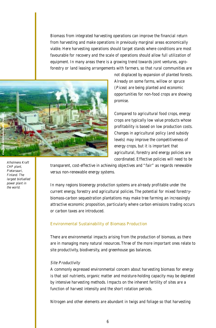Biomass from integrated harvesting operations can improve the financial return from harvesting and make operations in previously marginal areas economically viable. Here harvesting operations should target stands where conditions are most favourable for recovery and the scale of operations should allow full utilization of equipment. In many areas there is a growing trend towards joint ventures, agroforestry or land leasing arrangements with farmers, so that rural communities are

![](_page_5_Picture_1.jpeg)

not displaced by expansion of planted forests. Already on some farms, willow or spruce (Picea) are being planted and economic opportunities for non-food crops are showing promise.

Compared to agricultural food crops, energy crops are typically low value products whose profitability is based on low production costs. Changes in agricultural policy (and subsidy levels) may improve the competitiveness of energy crops, but it is important that agricultural, forestry and energy policies are coordinated. Effective policies will need to be

transparent, cost-effective in achieving objectives and "fair" as regards renewable versus non-renewable energy systems.

In many regions bioenergy production systems are already profitable under the current energy, forestry and agricultural policies.The potential for mixed forestrybiomass-carbon sequestration plantations may make tree farming an increasingly attractive economic proposition, particularly where carbon emissions trading occurs or carbon taxes are introduced.

# Environmental Sustainability of Biomass Production

There are environmental impacts arising from the production of biomass, as there are in managing many natural resources.Three of the more important ones relate to site productivity, biodiversity, and greenhouse gas balances.

### Site Productivity

A commonly expressed environmental concern about harvesting biomass for energy is that soil nutrients, organic matter and moisture-holding capacity may be depleted by intensive harvesting methods. Impacts on the inherent fertility of sites are a function of harvest intensity and the short rotation periods.

Nitrogen and other elements are abundant in twigs and foliage so that harvesting

Alholmens Kraft CHP plant, Pietarsaari, Finland. The largest biofuelled power plant in the world.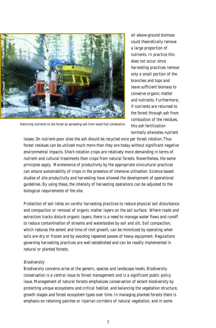![](_page_6_Picture_0.jpeg)

Returning nutrients to the forest by spreading ash from wood fuel combustion.

all above-ground biomass could theoretically remove a large proportion of nutrients. In practice this does not occur since harvesting practices remove only a small portion of the branches and tops and leave sufficient biomass to conserve organic matter and nutrients. Furthermore, if nutrients are returned to the forest through ash from combustion of the residues, this ash fertilization normally alleviates nutrient

losses. On nutrient-poor sites the ash should be recycled once per forest rotation.Thus forest residues can be utilized much more than they are today without significant negative environmental impacts. Short-rotation crops are relatively more demanding in terms of nutrient and cultural treatments than crops from natural forests. Nevertheless, the same principles apply. Maintenance of productivity by the appropriate silvicultural practices can ensure sustainability of crops in the presence of intensive utilisation. Science-based studies of site productivity and harvesting have allowed the development of operational guidelines. By using these, the intensity of harvesting operations can be adjusted to the biological requirements of the site.

Protection of soil relies on careful harvesting practices to reduce physical soil disturbance and compaction or removal of organic matter layers on the soil surface. Where roads and extraction tracks disturb organic layers, there is a need to manage water flows and runoff to reduce contamination of streams and waterbodies by soil and silt. Soil compaction, which reduces the extent and time of root growth, can be minimized by operating when soils are dry or frozen and by avoiding repeated passes of heavy equipment. Regulations governing harvesting practices are well-established and can be readily implemented in natural or planted forests.

### **Biodiversity**

Biodiversity concerns arise at the generic, species and landscape levels. Biodiversity conservation is a central issue to forest management and is a significant public policy issue. Management of natural forests emphasizes conservation of extant biodiversity by protecting unique ecosystems and critical habitat, and balancing the vegetation structure, growth stages and forest ecosystem types over time. In managing planted forests there is emphasis on retaining patches or riparian corridors of natural vegetation, and in some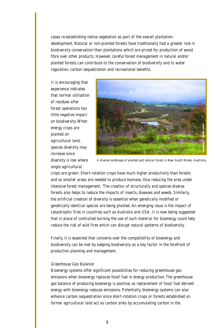cases re-establishing native vegetation as part of the overall plantation development. Natural or non-planted forests have traditionally had a greater role in biodiversity conservation than plantations which are prized for production of wood fibre over other products. However, careful forest management in natural and/or planted forests can contribute to the conservation of biodiversity and to water regulation, carbon sequestration and recreational benefits.

It is encouraging that experience indicates that normal utilisation of residues after forest operations has little negative impact on biodiversity. When energy crops are planted on agricultural land, species diversity may increase since diversity is low where single agricultural

![](_page_7_Picture_2.jpeg)

crops are grown. Short-rotation crops have much higher productivity than forests and so smaller areas are needed to produce biomass, thus reducing the area under intensive forest management. The creation of structurally and species-diverse forests also helps to reduce the impacts of insects, diseases and weeds. Similarly, the artificial creation of diversity is essential when genetically modified or genetically identical species are being planted. An emerging issue is the impact of catastrophic fires in countries such as Australia and USA. It is now being suggested that in place of controlled burning the use of such material for bioenergy could help reduce the risk of wild fires which can disrupt natural patterns of biodiversity.

Finally, it is expected that concerns over the compatibility of bioenergy and biodiversity can be met by keeping biodiversity as a key factor in the forefront of production planning and management.

# Greenhouse Gas Balance

Bioenergy systems offer significant possibilities for reducing greenhouse gas emissions when bioenergy replaces fossil fuel in energy production.The greenhouse gas balance of producing bioenergy is positive, so replacement of fossil fuel derived energy with bioenergy reduces emissions. Potentially, bioenergy systems can also enhance carbon sequestration since short-rotation crops or forests established on former agricultural land act as carbon sinks by accumulating carbon in the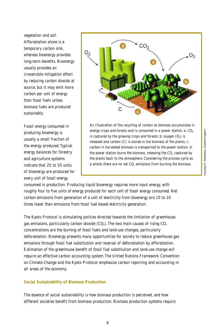vegetation and soil. Afforestation alone is a temporary carbon sink, whereas bioenergy provides long-term benefits. Bioenergy usually provides an irreversible mitigation effect by reducing carbon dioxide at source, but it may emit more carbon per unit of energy than fossil fuels unless biomass fuels are produced sustainably.

Fossil energy consumed in producing bioenergy is usually a small fraction of the energy produced.Typical energy balances for forestry and agriculture systems indicate that 25 to 50 units of bioenergy are produced for every unit of fossil energy

![](_page_8_Figure_3.jpeg)

An Illustration of the recycling of carbon as biomass accumulates in energy crops and forests and is consumed in a power station. a:  $CO<sub>2</sub>$ is captured by the growing crops and forests; b: oxygen  $(O_2)$  is released and carbon (C) is stored in the biomass of the plants; c: carbon in harvested biomass is transported to the power station; d: the power station burns the biomass, releasing the  $CO<sub>2</sub>$  captured by the plants back to the atmosphere. Considering the process cycle as a whole, there are no net  $CO<sub>2</sub>$  emissions from burning the biomass.

consumed in production. Producing liquid bioenergy requires more input energy, with roughly four to five units of energy produced for each unit of fossil energy consumed. Net carbon emissions from generation of a unit of electricity from bioenergy are 10 to 20 times lower than emissions from fossil fuel-based electricity generation.

The Kyoto Protocol is stimulating policies directed towards the limitation of greenhouse gas emissions, particularly carbon dioxide  $(CO<sub>2</sub>)$ . The two main causes of rising  $CO<sub>2</sub>$ concentrations are the burning of fossil fuels and land-use changes, particularly deforestation. Bioenergy presents many opportunities for society to reduce greenhouse gas emissions through fossil fuel substitution and reversal of deforestation by afforestation. Estimation of the greenhouse benefit of fossil fuel substitution and land-use change will require an effective carbon accounting system.The United Nations Framework Convention on Climate Change and the Kyoto Protocol emphasize carbon reporting and accounting in all areas of the economy.

# **Social Sustainability of Biomass Production**

The essence of social sustainability is how biomass production is perceived, and how different societies benefit from biomass production. Biomass production systems require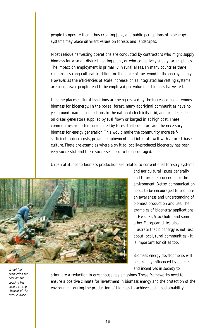people to operate them, thus creating jobs, and public perceptions of bioenergy systems may place different values on forests and landscapes.

Most residue harvesting operations are conducted by contractors who might supply biomass for a small district heating plant, or who collectively supply larger plants. The impact on employment is primarily in rural areas. In many countries there remains a strong cultural tradition for the place of fuel wood in the energy supply. However, as the efficiencies of scale increase, or as integrated harvesting systems are used, fewer people tend to be employed per volume of biomass harvested.

In some places cultural traditions are being revived by the increased use of woody biomass for bioenergy. In the boreal forest, many aboriginal communities have no year-round road or connections to the national electricity grid, and are dependent on diesel generators supplied by fuel flown or barged in at high cost.These communities are often surrounded by forest that could provide the necessary biomass for energy generation.This would make the community more selfsufficient, reduce costs, provide employment, and integrate well with a forest-based culture.There are examples where a shift to locally-produced bioenergy has been very successful and these successes need to be encouraged.

Urban attitudes to biomass production are related to conventional forestry systems

![](_page_9_Picture_4.jpeg)

environment. Better communication needs to be encouraged to promote an awareness and understanding of biomass production and use.The examples of bioenergy applications in Helsinki, Stockholm and some other European cities also illustrate that bioenergy is not just about local, rural communities - it

Biomass energy developments will be strongly influenced by policies and incentives in society to

Wood fuel production for heating and cooking has been a strong element of the rural culture.

stimulate a reduction in greenhouse gas emissions.These frameworks need to ensure a positive climate for investment in biomass energy and the protection of the environment during the production of biomass to achieve social sustainability.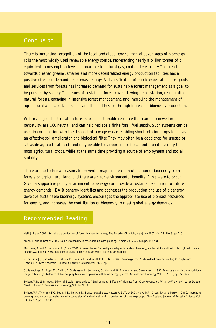# Conclusion

There is increasing recognition of the local and global environmental advantages of bioenergy. It is the most widely used renewable energy source, representing nearly a billion tonnes of oil equivalent - consumption levels comparable to natural gas, coal and electricity.The trend towards cleaner, greener, smaller and more decentralized energy production facilities has a positive effect on demand for biomass energy. A diversification of public expectations for goods and services from forests has increased demand for sustainable forest management as a goal to be pursued by society.The issues of sustaining forest cover, slowing deforestation, regenerating natural forests, engaging in intensive forest management, and improving the management of agricultural and rangeland soils, can all be addressed through increasing bioenergy production.

Well-managed short-rotation forests are a sustainable resource that can be renewed in perpetuity, are CO<sub>2</sub> neutral, and can help replace a finite fossil fuel supply. Such systems can be used in combination with the disposal of sewage waste, enabling short-rotation crops to act as an effective soil ameliorator and biological filter.They may often be a good crop for unused or set-aside agricultural lands and may be able to support more floral and faunal diversity than most agricultural crops, while at the same time providing a source of employment and social stability.

There are no technical reasons to prevent a major increase in utilisation of bioenergy from forests or agricultural land, and there are clear environmental benefits if this were to occur. Given a supportive policy environment, bioenergy can provide a sustainable solution to future energy demands. IEA Bioenergy identifies and addresses the production and use of bioenergy, develops sustainable bioenergy systems, encourages the appropriate use of biomass resources for energy, and increases the contribution of bioenergy to meet global energy demands.

# Recommended Reading

Hall, J. Peter. 2002. Sustainable production of forest biomass for energy.The Forestry Chronicle, May/June 2002, Vol. 78., No. 3, pp. 1-6.

Mann, L. and Tolbert, V. 2000. Soil sustainability in renewable biomass plantings. Ambio Vol. 29, No. 8, pp. 492-498.

Matthews, R. and Robertson, K.A. (Eds.). 2001. Answers to ten frequently asked questions about bioenergy, carbon sinks and their role in global climate change. Available at www.joanneum.ac.at/iea-bioenergy-task38/publication/task38faq.pdf

Richardson, J., Bjorheden, R., Hakkila, P., Lowe, A.T. and Smith C.T. (Eds.). 2002. Bioenergy from Sustainable Forestry: Guiding Principles and Practice. Kluwer Academic Publishers, Forestry Sciences Vol. 71, 344p.

Schlamadinger, B., Apps, M., Bohlin, F., Gustavsson, L., Jungmeier, G., Marland, G., Pingoud, K. and Savolainen, I. 1997.Towards a standard methodology for greenhouse gas balances of bioenergy systems in comparison with fossil energy systems. Biomass and Bioenergy, Vol. 13, No. 6, pp. 359-375.

Tolbert, V. R. 1998. Guest Editor of Special Issue entitled "Environmental Effects of Biomass from Crop Production. What Do We Know?, What Do We Need to Know?" Biomass and Bioenergy, Vol. 14, No. 4.

Tolbert, V.R.,Thornton, F.C., Joslin, J.D., Bock, B.R., Bandaranayake, W., Huston, A.E.,Tyler, D.D., Mays, D.A., Green,T.H. and Petry, I. 2000. Increasing below-ground carbon sequestration with conversion of agricultural lands to production of bioenergy crops. New Zealand Journal of Forestry Science, Vol. 30, No. 1/2, pp. 138-149.